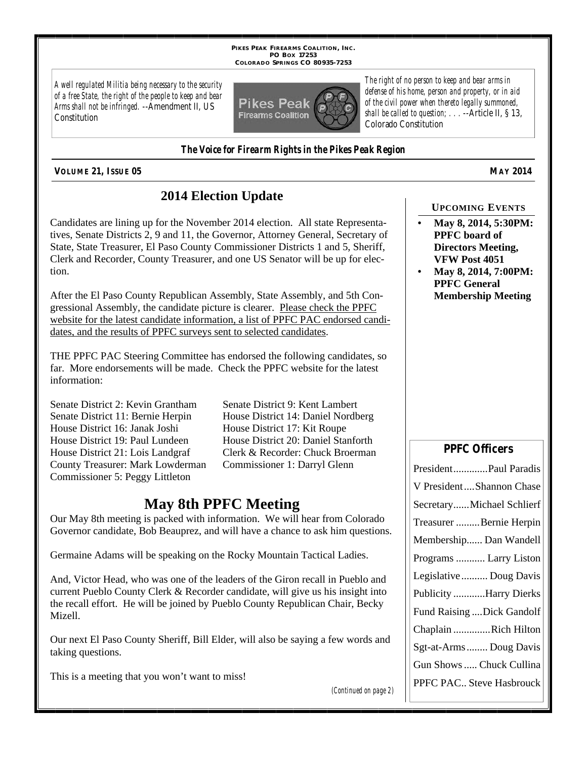**PIKES PEAK FIREARMS COALITION, INC. PO BOX 17253 COLORADO SPRINGS CO 80935-7253**

*A well regulated Militia being necessary to the security of a free State, the right of the people to keep and bear Arms shall not be infringed.* --Amendment II, US **Constitution** 



*The right of no person to keep and bear arms in defense of his home, person and property, or in aid of the civil power when thereto legally summoned, shall be called to question; . . .* --Article II, § 13, Colorado Constitution

#### *The Voice for Firearm Rights in the Pikes Peak Region*

**VOLUME 21, ISSUE 05 MAY 2014**

## **2014 Election Update**

Candidates are lining up for the November 2014 election. All state Representatives, Senate Districts 2, 9 and 11, the Governor, Attorney General, Secretary of State, State Treasurer, El Paso County Commissioner Districts 1 and 5, Sheriff, Clerk and Recorder, County Treasurer, and one US Senator will be up for election.

After the El Paso County Republican Assembly, State Assembly, and 5th Congressional Assembly, the candidate picture is clearer. Please check the PPFC website for the latest candidate information, a list of PPFC PAC endorsed candidates, and the results of PPFC surveys sent to selected candidates.

THE PPFC PAC Steering Committee has endorsed the following candidates, so far. More endorsements will be made. Check the PPFC website for the latest information:

Senate District 2: Kevin Grantham Senate District 9: Kent Lambert Senate District 11: Bernie Herpin House District 14: Daniel Nordberg House District 16: Janak Joshi House District 17: Kit Roupe House District 19: Paul Lundeen House District 20: Daniel Stanforth County Treasurer: Mark Lowderman Commissioner 1: Darryl Glenn Commissioner 5: Peggy Littleton

House District 21: Lois Landgraf Clerk & Recorder: Chuck Broerman

## **May 8th PPFC Meeting**

Our May 8th meeting is packed with information. We will hear from Colorado Governor candidate, Bob Beauprez, and will have a chance to ask him questions.

Germaine Adams will be speaking on the Rocky Mountain Tactical Ladies.

And, Victor Head, who was one of the leaders of the Giron recall in Pueblo and current Pueblo County Clerk & Recorder candidate, will give us his insight into the recall effort. He will be joined by Pueblo County Republican Chair, Becky Mizell.

Our next El Paso County Sheriff, Bill Elder, will also be saying a few words and taking questions.

This is a meeting that you won't want to miss!

*(Continued on page 2)*

#### **UPCOMING EVENTS**

- **May 8, 2014, 5:30PM: PPFC board of Directors Meeting, VFW Post 4051**
- **May 8, 2014, 7:00PM: PPFC General Membership Meeting**

### **PPFC Officers**

| PresidentPaul Paradis      |
|----------------------------|
| V PresidentShannon Chase   |
| SecretaryMichael Schlierf  |
| Treasurer Bernie Herpin    |
| Membership Dan Wandell     |
| Programs  Larry Liston     |
| Legislative  Doug Davis    |
| Publicity Harry Dierks     |
| Fund Raising  Dick Gandolf |
| Chaplain Rich Hilton       |
| Sgt-at-Arms  Doug Davis    |
| Gun Shows  Chuck Cullina   |
| PPFC PAC Steve Hasbrouck   |
|                            |